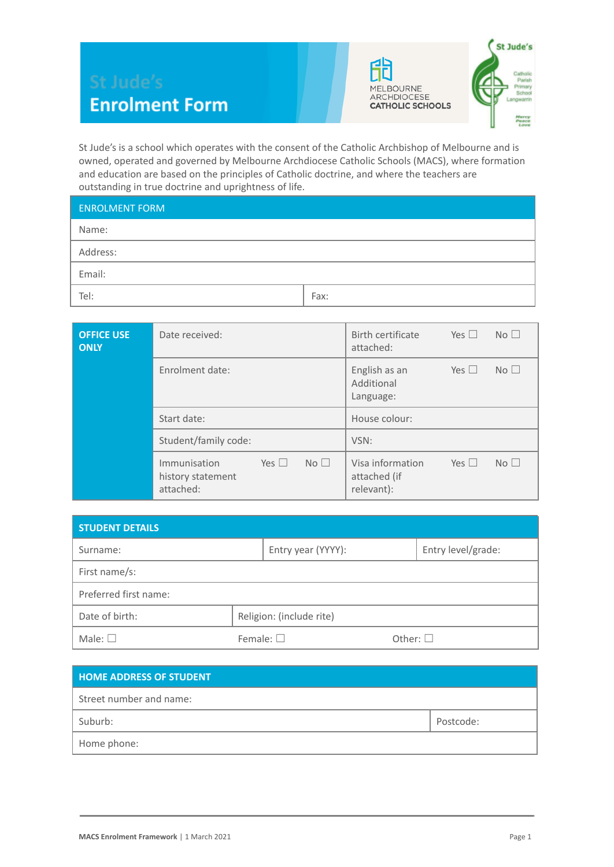



St Jude's is a school which operates with the consent of the Catholic Archbishop of Melbourne and is owned, operated and governed by Melbourne Archdiocese Catholic Schools (MACS), where formation and education are based on the principles of Catholic doctrine, and where the teachers are outstanding in true doctrine and uprightness of life.

| <b>ENROLMENT FORM</b> |      |
|-----------------------|------|
| Name:                 |      |
| Address:              |      |
| Email:                |      |
| Tel:                  | Fax: |

| <b>OFFICE USE</b><br><b>ONLY</b> | Date received:                                                                  | No <sub>1</sub><br>Birth certificate<br>Yes $\Box$<br>attached:                 |  |  |
|----------------------------------|---------------------------------------------------------------------------------|---------------------------------------------------------------------------------|--|--|
|                                  | Enrolment date:                                                                 | No <sub>1</sub><br>Yes $\Box$<br>English as an<br>Additional<br>Language:       |  |  |
|                                  | Start date:                                                                     | House colour:                                                                   |  |  |
|                                  | Student/family code:                                                            | VSN:                                                                            |  |  |
|                                  | No <sub>1</sub><br>Yes $\Box$<br>Immunisation<br>history statement<br>attached: | Visa information<br>No <sub>1</sub><br>Yes $\Box$<br>attached (if<br>relevant): |  |  |

| <b>STUDENT DETAILS</b> |                          |                    |  |  |  |
|------------------------|--------------------------|--------------------|--|--|--|
| Surname:               | Entry year (YYYY):       | Entry level/grade: |  |  |  |
| First name/s:          |                          |                    |  |  |  |
| Preferred first name:  |                          |                    |  |  |  |
| Date of birth:         | Religion: (include rite) |                    |  |  |  |
| Male: $\square$        | Female: $\square$        | Other: $\square$   |  |  |  |

| <b>HOME ADDRESS OF STUDENT</b> |           |
|--------------------------------|-----------|
| Street number and name:        |           |
| Suburb:                        | Postcode: |
| Home phone:                    |           |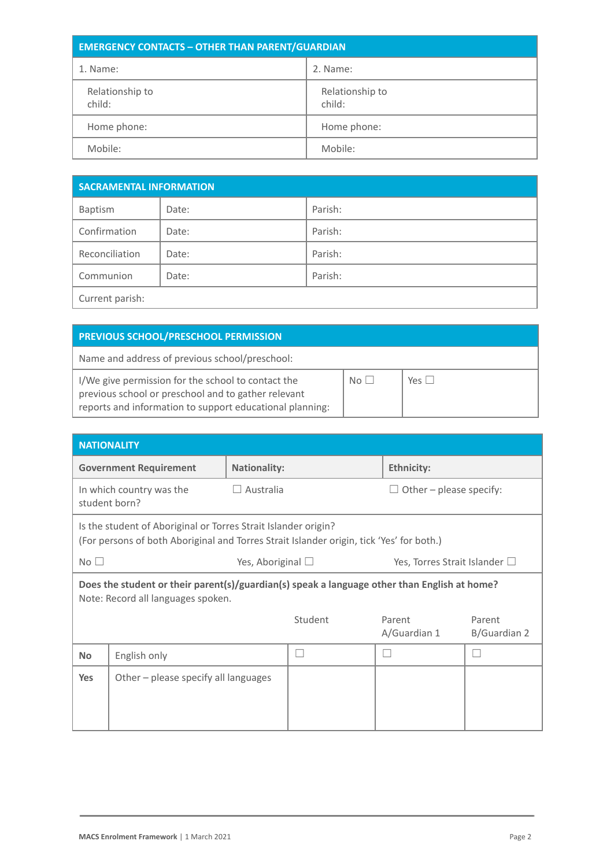| <b>EMERGENCY CONTACTS - OTHER THAN PARENT/GUARDIAN</b> |                           |  |  |
|--------------------------------------------------------|---------------------------|--|--|
| 1. Name:                                               | 2. Name:                  |  |  |
| Relationship to<br>child:                              | Relationship to<br>child: |  |  |
| Home phone:                                            | Home phone:               |  |  |
| Mobile:                                                | Mobile:                   |  |  |

| <b>SACRAMENTAL INFORMATION</b> |       |         |  |
|--------------------------------|-------|---------|--|
| Baptism                        | Date: | Parish: |  |
| Confirmation                   | Date: | Parish: |  |
| Reconciliation                 | Date: | Parish: |  |
| Communion                      | Date: | Parish: |  |
| Current parish:                |       |         |  |

| <b>PREVIOUS SCHOOL/PRESCHOOL PERMISSION</b>                                                                                                                           |       |                 |
|-----------------------------------------------------------------------------------------------------------------------------------------------------------------------|-------|-----------------|
| Name and address of previous school/preschool:                                                                                                                        |       |                 |
| I/We give permission for the school to contact the<br>previous school or preschool and to gather relevant<br>reports and information to support educational planning: | $N_O$ | $Yes \mid \mid$ |

| <b>NATIONALITY</b>                                                                                                                 |                                                                                                                                                            |                        |         |                                    |                         |  |
|------------------------------------------------------------------------------------------------------------------------------------|------------------------------------------------------------------------------------------------------------------------------------------------------------|------------------------|---------|------------------------------------|-------------------------|--|
|                                                                                                                                    | <b>Government Requirement</b>                                                                                                                              | <b>Nationality:</b>    |         | <b>Ethnicity:</b>                  |                         |  |
|                                                                                                                                    | In which country was the<br>student born?                                                                                                                  | $\Box$ Australia       |         |                                    | Other - please specify: |  |
|                                                                                                                                    | Is the student of Aboriginal or Torres Strait Islander origin?<br>(For persons of both Aboriginal and Torres Strait Islander origin, tick 'Yes' for both.) |                        |         |                                    |                         |  |
| No $\square$                                                                                                                       |                                                                                                                                                            | Yes, Aboriginal $\Box$ |         | Yes, Torres Strait Islander $\Box$ |                         |  |
| Does the student or their parent(s)/guardian(s) speak a language other than English at home?<br>Note: Record all languages spoken. |                                                                                                                                                            |                        |         |                                    |                         |  |
|                                                                                                                                    |                                                                                                                                                            |                        | Student | Parent<br>A/Guardian 1             | Parent<br>B/Guardian 2  |  |
| <b>No</b>                                                                                                                          | English only                                                                                                                                               |                        |         |                                    |                         |  |
| <b>Yes</b>                                                                                                                         | Other - please specify all languages                                                                                                                       |                        |         |                                    |                         |  |
|                                                                                                                                    |                                                                                                                                                            |                        |         |                                    |                         |  |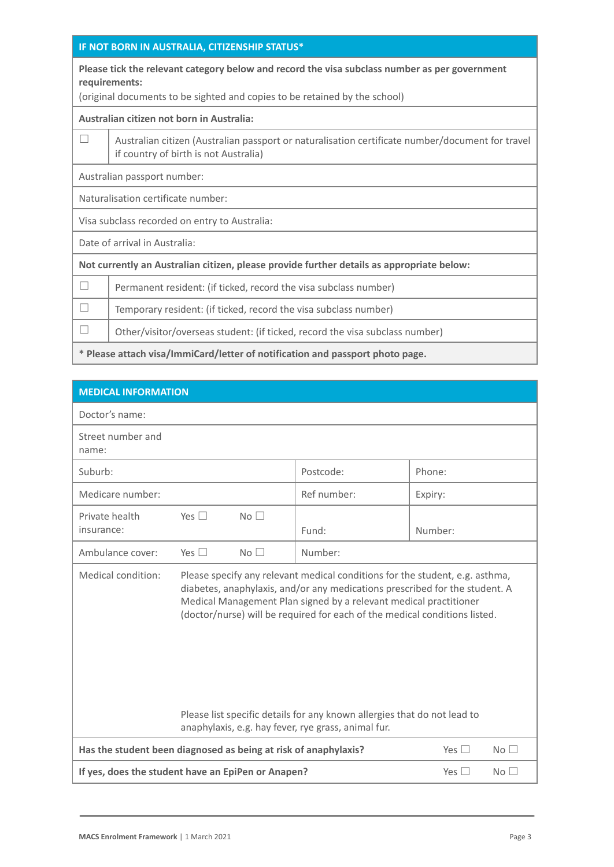#### **IF NOT BORN IN AUSTRALIA, CITIZENSHIP STATUS\***

**Please tick the relevant category below and record the visa subclass number as per government requirements:**

(original documents to be sighted and copies to be retained by the school)

#### **Australian citizen not born in Australia:**

 $\Box$  Australian citizen (Australian passport or naturalisation certificate number/document for travel if country of birth is not Australia)

Australian passport number:

Naturalisation certificate number:

Visa subclass recorded on entry to Australia:

Date of arrival in Australia:

**Not currently an Australian citizen, please provide further details as appropriate below:**

| Permanent resident: (if ticked, record the visa subclass number)             |
|------------------------------------------------------------------------------|
| Temporary resident: (if ticked, record the visa subclass number)             |
| Other/visitor/overseas student: (if ticked, record the visa subclass number) |
|                                                                              |

**\* Please attach visa/ImmiCard/letter of notification and passport photo page.**

| <b>MEDICAL INFORMATION</b>                                                                                                                                                                                                                                                                                                                                                                                                                                              |            |                 |             |                                  |
|-------------------------------------------------------------------------------------------------------------------------------------------------------------------------------------------------------------------------------------------------------------------------------------------------------------------------------------------------------------------------------------------------------------------------------------------------------------------------|------------|-----------------|-------------|----------------------------------|
| Doctor's name:                                                                                                                                                                                                                                                                                                                                                                                                                                                          |            |                 |             |                                  |
| Street number and<br>name:                                                                                                                                                                                                                                                                                                                                                                                                                                              |            |                 |             |                                  |
| Suburb:                                                                                                                                                                                                                                                                                                                                                                                                                                                                 |            |                 | Postcode:   | Phone:                           |
| Medicare number:                                                                                                                                                                                                                                                                                                                                                                                                                                                        |            |                 | Ref number: | Expiry:                          |
| Private health<br>insurance:                                                                                                                                                                                                                                                                                                                                                                                                                                            | Yes $\Box$ | No <sub>1</sub> | Fund:       | Number:                          |
| Ambulance cover:                                                                                                                                                                                                                                                                                                                                                                                                                                                        | Yes $\Box$ | No <sub>1</sub> | Number:     |                                  |
| Medical condition:<br>Please specify any relevant medical conditions for the student, e.g. asthma,<br>diabetes, anaphylaxis, and/or any medications prescribed for the student. A<br>Medical Management Plan signed by a relevant medical practitioner<br>(doctor/nurse) will be required for each of the medical conditions listed.<br>Please list specific details for any known allergies that do not lead to<br>anaphylaxis, e.g. hay fever, rye grass, animal fur. |            |                 |             |                                  |
| Has the student been diagnosed as being at risk of anaphylaxis?                                                                                                                                                                                                                                                                                                                                                                                                         |            |                 |             | Yes $\square$<br>No <sub>1</sub> |
| If yes, does the student have an EpiPen or Anapen?<br>Yes $\Box$<br>$No$ $\Box$                                                                                                                                                                                                                                                                                                                                                                                         |            |                 |             |                                  |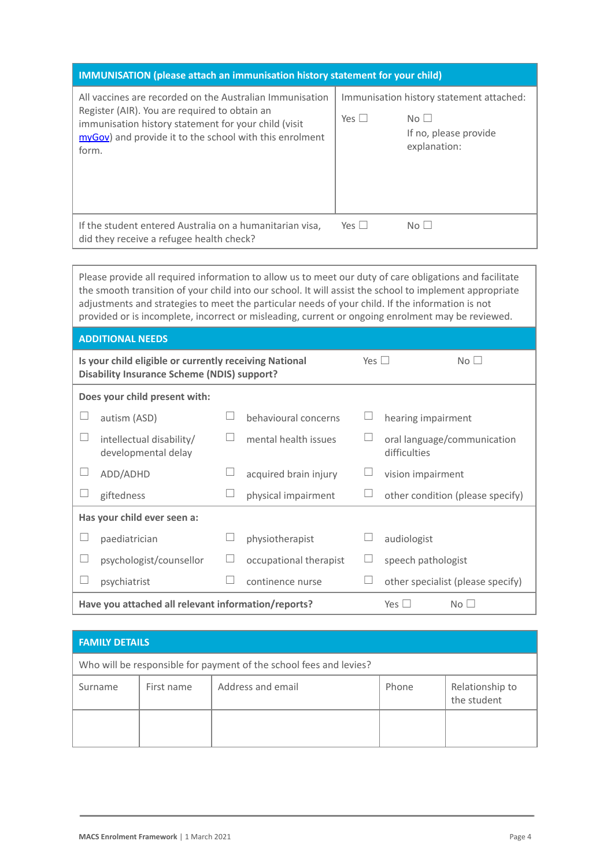| <b>IMMUNISATION</b> (please attach an immunisation history statement for your child)                                                                                                                                                  |            |                                                                                                      |
|---------------------------------------------------------------------------------------------------------------------------------------------------------------------------------------------------------------------------------------|------------|------------------------------------------------------------------------------------------------------|
| All vaccines are recorded on the Australian Immunisation<br>Register (AIR). You are required to obtain an<br>immunisation history statement for your child (visit<br>myGov) and provide it to the school with this enrolment<br>form. | Yes $\Box$ | Immunisation history statement attached:<br>No <sub>1</sub><br>If no, please provide<br>explanation: |
| If the student entered Australia on a humanitarian visa,<br>did they receive a refugee health check?                                                                                                                                  | Yes $\Box$ | $N \cap \Box$                                                                                        |

Please provide all required information to allow us to meet our duty of care obligations and facilitate the smooth transition of your child into our school. It will assist the school to implement appropriate adjustments and strategies to meet the particular needs of your child. If the information is not provided or is incomplete, incorrect or misleading, current or ongoing enrolment may be reviewed.

| <b>ADDITIONAL NEEDS</b>                                                                                                    |                                                     |                               |                        |  |                                             |  |
|----------------------------------------------------------------------------------------------------------------------------|-----------------------------------------------------|-------------------------------|------------------------|--|---------------------------------------------|--|
| Is your child eligible or currently receiving National<br>Yes $\Box$<br><b>Disability Insurance Scheme (NDIS) support?</b> |                                                     |                               |                        |  | No <sub>1</sub>                             |  |
|                                                                                                                            | Does your child present with:                       |                               |                        |  |                                             |  |
|                                                                                                                            | autism (ASD)                                        |                               | behavioural concerns   |  | hearing impairment                          |  |
|                                                                                                                            | intellectual disability/<br>developmental delay     |                               | mental health issues   |  | oral language/communication<br>difficulties |  |
|                                                                                                                            | ADD/ADHD                                            |                               | acquired brain injury  |  | vision impairment                           |  |
|                                                                                                                            | giftedness                                          |                               | physical impairment    |  | other condition (please specify)            |  |
|                                                                                                                            | Has your child ever seen a:                         |                               |                        |  |                                             |  |
|                                                                                                                            | paediatrician                                       |                               | physiotherapist        |  | audiologist                                 |  |
| $\Box$                                                                                                                     | psychologist/counsellor                             |                               | occupational therapist |  | speech pathologist                          |  |
|                                                                                                                            | psychiatrist                                        |                               | continence nurse       |  | other specialist (please specify)           |  |
|                                                                                                                            | Have you attached all relevant information/reports? | Yes $\Box$<br>No <sub>1</sub> |                        |  |                                             |  |

| <b>FAMILY DETAILS</b>                                              |            |                   |       |                                |
|--------------------------------------------------------------------|------------|-------------------|-------|--------------------------------|
| Who will be responsible for payment of the school fees and levies? |            |                   |       |                                |
| Surname                                                            | First name | Address and email | Phone | Relationship to<br>the student |
|                                                                    |            |                   |       |                                |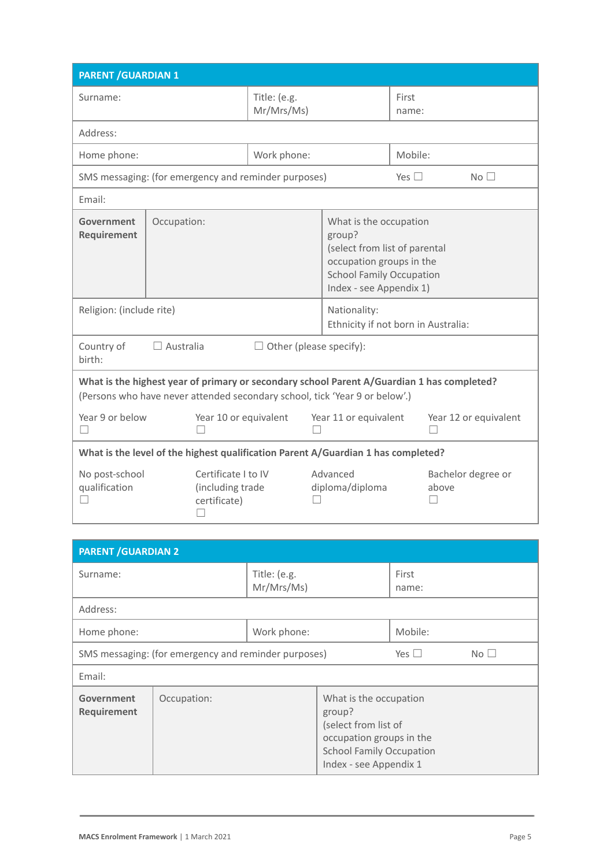| <b>PARENT / GUARDIAN 1</b>                                                                                                                                                |                                                         |                            |                                                                                                                                                             |                |                       |
|---------------------------------------------------------------------------------------------------------------------------------------------------------------------------|---------------------------------------------------------|----------------------------|-------------------------------------------------------------------------------------------------------------------------------------------------------------|----------------|-----------------------|
| Surname:                                                                                                                                                                  |                                                         | Title: (e.g.<br>Mr/Mrs/Ms) |                                                                                                                                                             | First<br>name: |                       |
| Address:                                                                                                                                                                  |                                                         |                            |                                                                                                                                                             |                |                       |
| Home phone:                                                                                                                                                               |                                                         | Work phone:                |                                                                                                                                                             | Mobile:        |                       |
|                                                                                                                                                                           | SMS messaging: (for emergency and reminder purposes)    |                            |                                                                                                                                                             | Yes $\Box$     | No <sub>1</sub>       |
| Email:                                                                                                                                                                    |                                                         |                            |                                                                                                                                                             |                |                       |
| Government<br>Requirement                                                                                                                                                 | Occupation:                                             |                            | What is the occupation<br>group?<br>(select from list of parental<br>occupation groups in the<br><b>School Family Occupation</b><br>Index - see Appendix 1) |                |                       |
| Religion: (include rite)                                                                                                                                                  |                                                         |                            | Nationality:<br>Ethnicity if not born in Australia:                                                                                                         |                |                       |
| Country of<br>$\Box$ Other (please specify):<br>$\Box$ Australia<br>birth:                                                                                                |                                                         |                            |                                                                                                                                                             |                |                       |
| What is the highest year of primary or secondary school Parent A/Guardian 1 has completed?<br>(Persons who have never attended secondary school, tick 'Year 9 or below'.) |                                                         |                            |                                                                                                                                                             |                |                       |
| Year 9 or below<br>$\mathbf{L}$                                                                                                                                           | Year 10 or equivalent                                   |                            | Year 11 or equivalent                                                                                                                                       |                | Year 12 or equivalent |
| What is the level of the highest qualification Parent A/Guardian 1 has completed?                                                                                         |                                                         |                            |                                                                                                                                                             |                |                       |
| No post-school<br>qualification                                                                                                                                           | Certificate I to IV<br>(including trade<br>certificate) |                            | Advanced<br>diploma/diploma                                                                                                                                 | above          | Bachelor degree or    |

| <b>PARENT / GUARDIAN 2</b>                           |             |                            |                                                                                                                                                   |                |                 |
|------------------------------------------------------|-------------|----------------------------|---------------------------------------------------------------------------------------------------------------------------------------------------|----------------|-----------------|
| Surname:                                             |             | Title: (e.g.<br>Mr/Mrs/Ms) |                                                                                                                                                   | First<br>name: |                 |
| Address:                                             |             |                            |                                                                                                                                                   |                |                 |
| Home phone:                                          |             | Work phone:                |                                                                                                                                                   | Mobile:        |                 |
| SMS messaging: (for emergency and reminder purposes) |             |                            |                                                                                                                                                   | Yes $\Box$     | No <sub>1</sub> |
| Email:                                               |             |                            |                                                                                                                                                   |                |                 |
| Government<br>Requirement                            | Occupation: |                            | What is the occupation<br>group?<br>(select from list of<br>occupation groups in the<br><b>School Family Occupation</b><br>Index - see Appendix 1 |                |                 |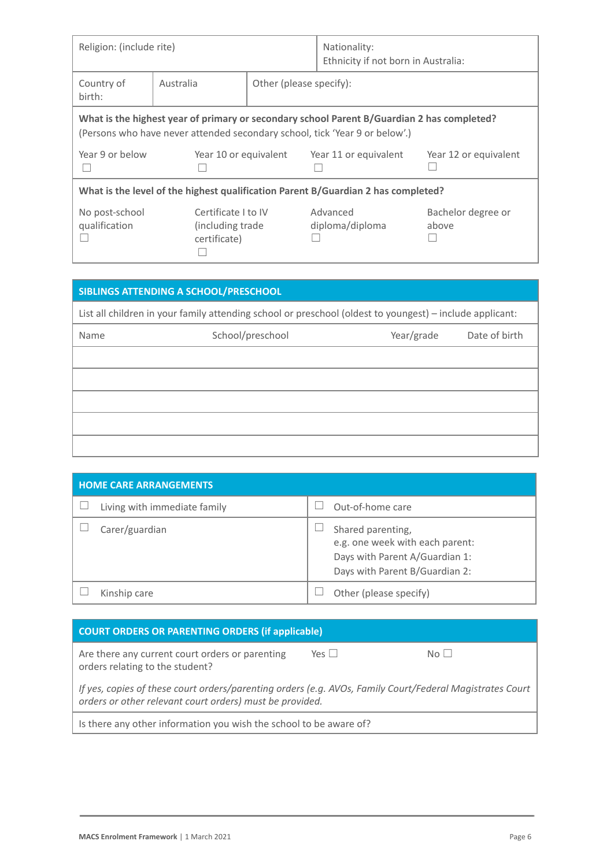| Religion: (include rite)                                                                                                                                                  |                                                          |                         | Nationality:<br>Ethnicity if not born in Australia: |                             |
|---------------------------------------------------------------------------------------------------------------------------------------------------------------------------|----------------------------------------------------------|-------------------------|-----------------------------------------------------|-----------------------------|
| Country of<br>birth:                                                                                                                                                      | Australia                                                | Other (please specify): |                                                     |                             |
| What is the highest year of primary or secondary school Parent B/Guardian 2 has completed?<br>(Persons who have never attended secondary school, tick 'Year 9 or below'.) |                                                          |                         |                                                     |                             |
| Year 9 or below                                                                                                                                                           | Year 10 or equivalent                                    |                         | Year 11 or equivalent                               | Year 12 or equivalent       |
| What is the level of the highest qualification Parent B/Guardian 2 has completed?                                                                                         |                                                          |                         |                                                     |                             |
| No post-school<br>qualification                                                                                                                                           | Certificate I to IV<br>(including trade)<br>certificate) |                         | Advanced<br>diploma/diploma                         | Bachelor degree or<br>above |

|                                                                                                          | SIBLINGS ATTENDING A SCHOOL/PRESCHOOL |            |               |
|----------------------------------------------------------------------------------------------------------|---------------------------------------|------------|---------------|
| List all children in your family attending school or preschool (oldest to youngest) – include applicant: |                                       |            |               |
| Name                                                                                                     | School/preschool                      | Year/grade | Date of birth |
|                                                                                                          |                                       |            |               |
|                                                                                                          |                                       |            |               |
|                                                                                                          |                                       |            |               |
|                                                                                                          |                                       |            |               |
|                                                                                                          |                                       |            |               |

| <b>HOME CARE ARRANGEMENTS</b> |                                                                                                                          |  |  |
|-------------------------------|--------------------------------------------------------------------------------------------------------------------------|--|--|
| Living with immediate family  | Out-of-home care                                                                                                         |  |  |
| Carer/guardian                | Shared parenting,<br>e.g. one week with each parent:<br>Days with Parent A/Guardian 1:<br>Days with Parent B/Guardian 2: |  |  |
| Kinship care                  | Other (please specify)                                                                                                   |  |  |

### **COURT ORDERS OR PARENTING ORDERS (if applicable)**

Are there any current court orders or parenting orders relating to the student?  $Yes \Box$  No  $\Box$ 

*If yes, copies of these court orders/parenting orders (e.g. AVOs, Family Court/Federal Magistrates Court orders or other relevant court orders) must be provided.*

Is there any other information you wish the school to be aware of?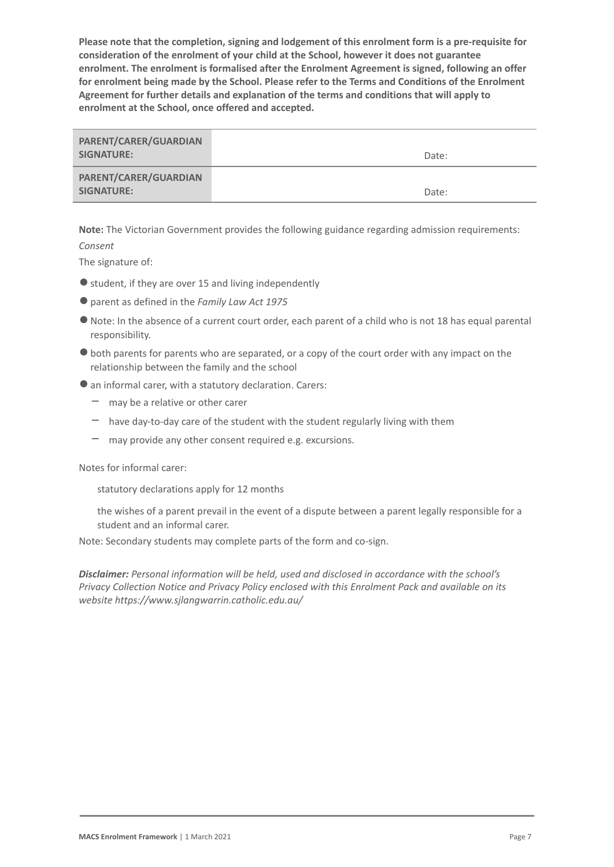**Please note that the completion, signing and lodgement of this enrolment form is a pre-requisite for consideration of the enrolment of your child at the School, however it does not guarantee enrolment. The enrolment is formalised after the Enrolment Agreement is signed, following an offer for enrolment being made by the School. Please refer to the Terms and Conditions of the Enrolment Agreement for further details and explanation of the terms and conditions that will apply to enrolment at the School, once offered and accepted.**

| PARENT/CARER/GUARDIAN<br>SIGNATURE: | Date: |
|-------------------------------------|-------|
| PARENT/CARER/GUARDIAN<br>SIGNATURE: | Date: |

**Note:** The Victorian Government provides the following guidance regarding admission requirements:

### *Consent*

The signature of:

- $\bullet$  student, if they are over 15 and living independently
- ●parent as defined in the *Family Law Act 1975*
- ●Note: In the absence of a current court order, each parent of a child who is not 18 has equal parental responsibility.
- ●both parents for parents who are separated, or a copy of the court order with any impact on the relationship between the family and the school
- ●an informal carer, with a statutory declaration. Carers:
	- $-$  may be a relative or other carer
	- $-$  have day-to-day care of the student with the student regularly living with them
	- $-$  may provide any other consent required e.g. excursions.

Notes for informal carer:

statutory declarations apply for 12 months

the wishes of a parent prevail in the event of a dispute between a parent legally responsible for a student and an informal carer.

Note: Secondary students may complete parts of the form and co-sign.

*Disclaimer: Personal information will be held, used and disclosed in accordance with the school's Privacy Collection Notice and Privacy Policy enclosed with this Enrolment Pack and available on its website https://www.sjlangwarrin.catholic.edu.au/*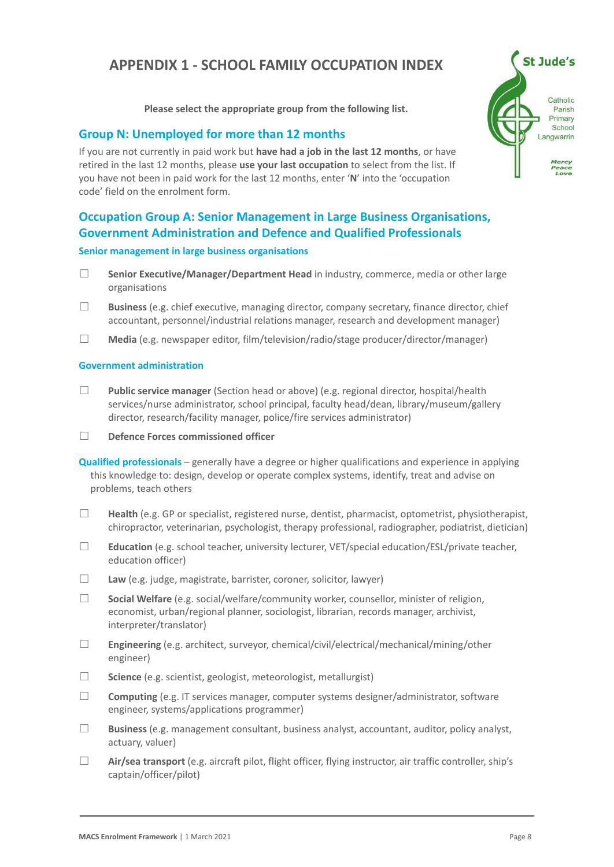# **APPENDIX 1 - SCHOOL FAMILY OCCUPATION INDEX**

**Please select the appropriate group from the following list.**

### **Group N: Unemployed for more than 12 months**

If you are not currently in paid work but **have had a job in the last 12 months**, or have retired in the last 12 months, please **use your last occupation** to select from the list. If you have not been in paid work for the last 12 months, enter '**N**' into the 'occupation code' field on the enrolment form.



- ☐ **Senior Executive/Manager/Department Head** in industry, commerce, media or other large organisations
- ☐ **Business** (e.g. chief executive, managing director, company secretary, finance director, chief accountant, personnel/industrial relations manager, research and development manager)
- ☐ **Media** (e.g. newspaper editor, film/television/radio/stage producer/director/manager)

#### **Government administration**

- ☐ **Public service manager** (Section head or above) (e.g. regional director, hospital/health services/nurse administrator, school principal, faculty head/dean, library/museum/gallery director, research/facility manager, police/fire services administrator)
- ☐ **Defence Forces commissioned officer**

**Qualified professionals** – generally have a degree or higher qualifications and experience in applying this knowledge to: design, develop or operate complex systems, identify, treat and advise on problems, teach others

- ☐ **Health** (e.g. GP or specialist, registered nurse, dentist, pharmacist, optometrist, physiotherapist, chiropractor, veterinarian, psychologist, therapy professional, radiographer, podiatrist, dietician)
- ☐ **Education** (e.g. school teacher, university lecturer, VET/special education/ESL/private teacher, education officer)
- ☐ **Law** (e.g. judge, magistrate, barrister, coroner, solicitor, lawyer)
- ☐ **Social Welfare** (e.g. social/welfare/community worker, counsellor, minister of religion, economist, urban/regional planner, sociologist, librarian, records manager, archivist, interpreter/translator)
- ☐ **Engineering** (e.g. architect, surveyor, chemical/civil/electrical/mechanical/mining/other engineer)
- ☐ **Science** (e.g. scientist, geologist, meteorologist, metallurgist)
- □ **Computing** (e.g. IT services manager, computer systems designer/administrator, software engineer, systems/applications programmer)
- ☐ **Business** (e.g. management consultant, business analyst, accountant, auditor, policy analyst, actuary, valuer)
- ☐ **Air/sea transport** (e.g. aircraft pilot, flight officer, flying instructor, air traffic controller, ship's captain/officer/pilot)

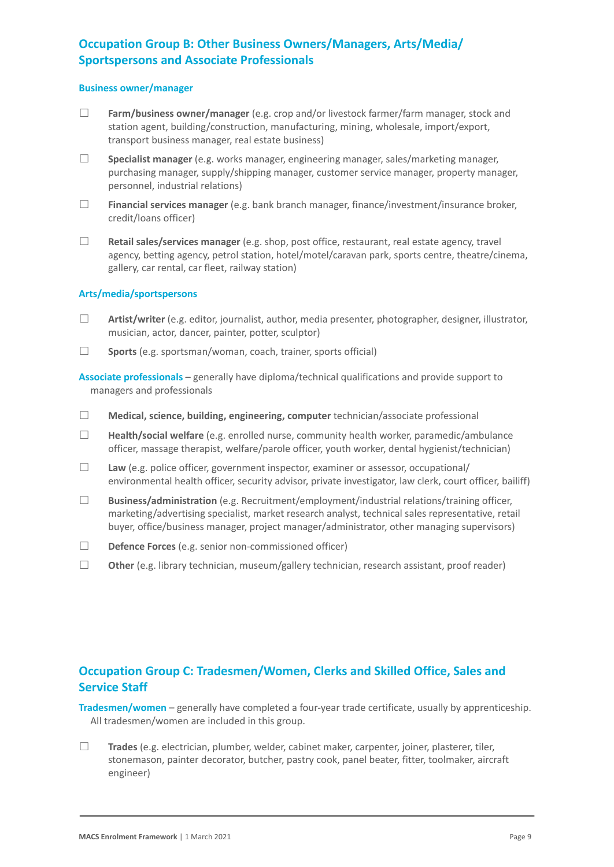# **Occupation Group B: Other Business Owners/Managers, Arts/Media/ Sportspersons and Associate Professionals**

#### **Business owner/manager**

- ☐ **Farm/business owner/manager** (e.g. crop and/or livestock farmer/farm manager, stock and station agent, building/construction, manufacturing, mining, wholesale, import/export, transport business manager, real estate business)
- ☐ **Specialist manager** (e.g. works manager, engineering manager, sales/marketing manager, purchasing manager, supply/shipping manager, customer service manager, property manager, personnel, industrial relations)
- ☐ **Financial services manager** (e.g. bank branch manager, finance/investment/insurance broker, credit/loans officer)
- ☐ **Retail sales/services manager** (e.g. shop, post office, restaurant, real estate agency, travel agency, betting agency, petrol station, hotel/motel/caravan park, sports centre, theatre/cinema, gallery, car rental, car fleet, railway station)

#### **Arts/media/sportspersons**

- ☐ **Artist/writer** (e.g. editor, journalist, author, media presenter, photographer, designer, illustrator, musician, actor, dancer, painter, potter, sculptor)
- ☐ **Sports** (e.g. sportsman/woman, coach, trainer, sports official)

**Associate professionals –** generally have diploma/technical qualifications and provide support to managers and professionals

- ☐ **Medical, science, building, engineering, computer** technician/associate professional
- ☐ **Health/social welfare** (e.g. enrolled nurse, community health worker, paramedic/ambulance officer, massage therapist, welfare/parole officer, youth worker, dental hygienist/technician)
- ☐ **Law** (e.g. police officer, government inspector, examiner or assessor, occupational/ environmental health officer, security advisor, private investigator, law clerk, court officer, bailiff)
- ☐ **Business/administration** (e.g. Recruitment/employment/industrial relations/training officer, marketing/advertising specialist, market research analyst, technical sales representative, retail buyer, office/business manager, project manager/administrator, other managing supervisors)
- ☐ **Defence Forces** (e.g. senior non-commissioned officer)
- ☐ **Other** (e.g. library technician, museum/gallery technician, research assistant, proof reader)

## **Occupation Group C: Tradesmen/Women, Clerks and Skilled Office, Sales and Service Staff**

**Tradesmen/women** – generally have completed a four-year trade certificate, usually by apprenticeship. All tradesmen/women are included in this group.

☐ **Trades** (e.g. electrician, plumber, welder, cabinet maker, carpenter, joiner, plasterer, tiler, stonemason, painter decorator, butcher, pastry cook, panel beater, fitter, toolmaker, aircraft engineer)